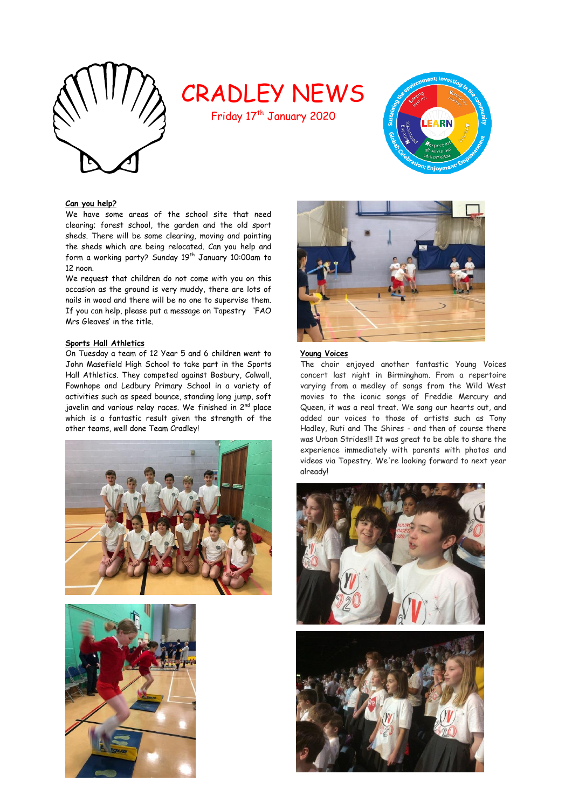

# CRADLEY NEWS

Friday 17<sup>th</sup> January 2020



# **Can you help?**

We have some areas of the school site that need clearing; forest school, the garden and the old sport sheds. There will be some clearing, moving and painting the sheds which are being relocated. Can you help and form a working party? Sunday 19<sup>th</sup> January 10:00am to 12 noon.

We request that children do not come with you on this occasion as the ground is very muddy, there are lots of nails in wood and there will be no one to supervise them. If you can help, please put a message on Tapestry 'FAO Mrs Gleaves' in the title.

# **Sports Hall Athletics**

On Tuesday a team of 12 Year 5 and 6 children went to John Masefield High School to take part in the Sports Hall Athletics. They competed against Bosbury, Colwall, Fownhope and Ledbury Primary School in a variety of activities such as speed bounce, standing long jump, soft javelin and various relay races. We finished in 2<sup>nd</sup> place which is a fantastic result given the strength of the other teams, well done Team Cradley!







# **Young Voices**

The choir enjoyed another fantastic Young Voices concert last night in Birmingham. From a repertoire varying from a medley of songs from the Wild West movies to the iconic songs of Freddie Mercury and Queen, it was a real treat. We sang our hearts out, and added our voices to those of artists such as Tony Hadley, Ruti and The Shires - and then of course there was Urban Strides!!! It was great to be able to share the experience immediately with parents with photos and videos via Tapestry. We're looking forward to next year already!



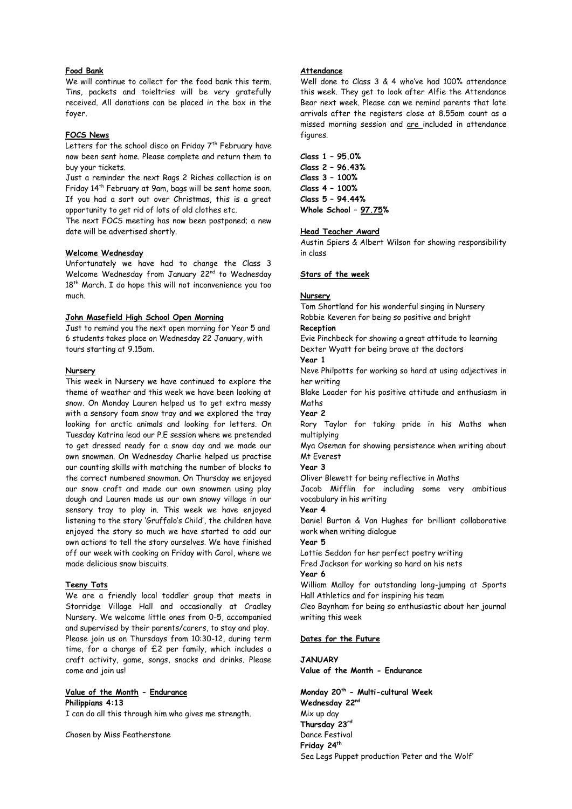# **Food Bank**

We will continue to collect for the food bank this term. Tins, packets and toieltries will be very gratefully received. All donations can be placed in the box in the foyer.

#### **FOCS News**

Letters for the school disco on Friday  $7<sup>th</sup>$  February have now been sent home. Please complete and return them to buy your tickets.

Just a reminder the next Rags 2 Riches collection is on Friday 14th February at 9am, bags will be sent home soon. If you had a sort out over Christmas, this is a great opportunity to get rid of lots of old clothes etc.

The next FOCS meeting has now been postponed; a new date will be advertised shortly.

### **Welcome Wednesday**

Unfortunately we have had to change the Class 3 Welcome Wednesday from January 22nd to Wednesday 18<sup>th</sup> March. I do hope this will not inconvenience you too much.

#### **John Masefield High School Open Morning**

Just to remind you the next open morning for Year 5 and 6 students takes place on Wednesday 22 January, with tours starting at 9.15am.

### **Nursery**

This week in Nursery we have continued to explore the theme of weather and this week we have been looking at snow. On Monday Lauren helped us to get extra messy with a sensory foam snow tray and we explored the tray looking for arctic animals and looking for letters. On Tuesday Katrina lead our P.E session where we pretended to get dressed ready for a snow day and we made our own snowmen. On Wednesday Charlie helped us practise our counting skills with matching the number of blocks to the correct numbered snowman. On Thursday we enjoyed our snow craft and made our own snowmen using play dough and Lauren made us our own snowy village in our sensory tray to play in. This week we have enjoyed listening to the story 'Gruffalo's Child', the children have enjoyed the story so much we have started to add our own actions to tell the story ourselves. We have finished off our week with cooking on Friday with Carol, where we made delicious snow biscuits.

#### **Teeny Tots**

We are a friendly local toddler group that meets in Storridge Village Hall and occasionally at Cradley Nursery. We welcome little ones from 0-5, accompanied and supervised by their parents/carers, to stay and play. Please join us on Thursdays from 10:30-12, during term time, for a charge of £2 per family, which includes a craft activity, game, songs, snacks and drinks. Please come and join us!

**Value of the Month - Endurance Philippians 4:13**

I can do all this through him who gives me strength.

Chosen by Miss Featherstone

# **Attendance**

Well done to Class 3 & 4 who've had 100% attendance this week. They get to look after Alfie the Attendance Bear next week. Please can we remind parents that late arrivals after the registers close at 8.55am count as a missed morning session and are included in attendance figures.

**Class 1 – 95.0% Class 2 – 96.43% Class 3 – 100% Class 4 – 100% Class 5 – 94.44% Whole School – 97.75%**

#### **Head Teacher Award**

Austin Spiers & Albert Wilson for showing responsibility in class

## **Stars of the week**

#### **Nursery**

Tom Shortland for his wonderful singing in Nursery Robbie Keveren for being so positive and bright

### **Reception**

Evie Pinchbeck for showing a great attitude to learning Dexter Wyatt for being brave at the doctors

# **Year 1**

Neve Philpotts for working so hard at using adjectives in her writing

Blake Loader for his positive attitude and enthusiasm in Maths

**Year 2** 

Rory Taylor for taking pride in his Maths when multiplying

Mya Oseman for showing persistence when writing about Mt Everest

**Year 3** 

Oliver Blewett for being reflective in Maths

Jacob Mifflin for including some very ambitious vocabulary in his writing

**Year 4**

Daniel Burton & Van Hughes for brilliant collaborative work when writing dialogue

# **Year 5**

Lottie Seddon for her perfect poetry writing Fred Jackson for working so hard on his nets

**Year 6**

William Malloy for outstanding long-jumping at Sports Hall Athletics and for inspiring his team

Cleo Baynham for being so enthusiastic about her journal writing this week

### **Dates for the Future**

**JANUARY Value of the Month - Endurance**

**Monday 20th - Multi-cultural Week Wednesday 22nd** Mix up day **Thursday 23rd** Dance Festival **Friday 24th** Sea Legs Puppet production 'Peter and the Wolf'